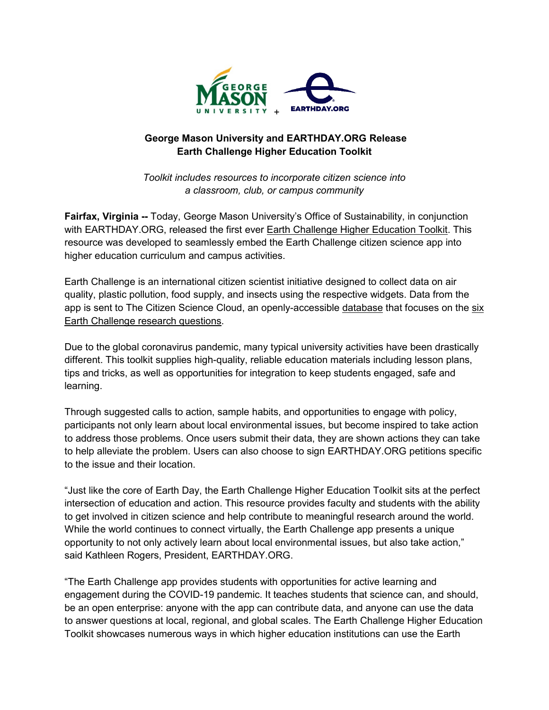

## **George Mason University and EARTHDAY.ORG Release Earth Challenge Higher Education Toolkit**

*Toolkit includes resources to incorporate citizen science into a classroom, club, or campus community*

**Fairfax, Virginia --** Today, George Mason University's Office of Sustainability, in conjunction with EARTHDAY.ORG, released the first ever [Earth Challenge Higher Education Toolkit.](https://www.earthday.org/ec2020-highered/) This resource was developed to seamlessly embed the Earth Challenge citizen science app into higher education curriculum and campus activities.

Earth Challenge is an international citizen scientist initiative designed to collect data on air quality, plastic pollution, food supply, and insects using the respective widgets. Data from the app is sent to The Citizen Science Cloud, an openly-accessible [database](https://cscloud-ec2020.opendata.arcgis.com/) that focuses on the [six](https://earthchallenge2020.earthday.org/pages/research-questions)  [Earth Challenge research questions.](https://earthchallenge2020.earthday.org/pages/research-questions)

Due to the global coronavirus pandemic, many typical university activities have been drastically different. This toolkit supplies high-quality, reliable education materials including lesson plans, tips and tricks, as well as opportunities for integration to keep students engaged, safe and learning.

Through suggested calls to action, sample habits, and opportunities to engage with policy, participants not only learn about local environmental issues, but become inspired to take action to address those problems. Once users submit their data, they are shown actions they can take to help alleviate the problem. Users can also choose to sign EARTHDAY.ORG petitions specific to the issue and their location.

"Just like the core of Earth Day, the Earth Challenge Higher Education Toolkit sits at the perfect intersection of education and action. This resource provides faculty and students with the ability to get involved in citizen science and help contribute to meaningful research around the world. While the world continues to connect virtually, the Earth Challenge app presents a unique opportunity to not only actively learn about local environmental issues, but also take action," said Kathleen Rogers, President, EARTHDAY.ORG.

"The Earth Challenge app provides students with opportunities for active learning and engagement during the COVID-19 pandemic. It teaches students that science can, and should, be an open enterprise: anyone with the app can contribute data, and anyone can use the data to answer questions at local, regional, and global scales. The Earth Challenge Higher Education Toolkit showcases numerous ways in which higher education institutions can use the Earth